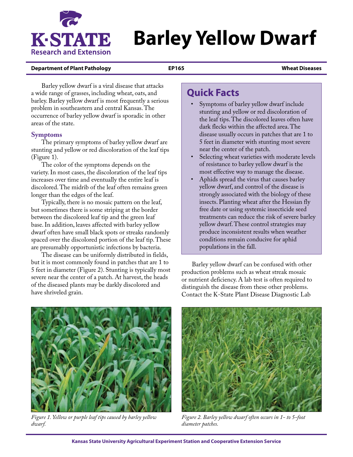

# **Barley Yellow Dwarf**

#### **Department of Plant Pathology EP165 Wheat Diseases**

Barley yellow dwarf is a viral disease that attacks a wide range of grasses, including wheat, oats, and barley. Barley yellow dwarf is most frequently a serious problem in southeastern and central Kansas. The occurrence of barley yellow dwarf is sporadic in other areas of the state.

#### **Symptoms**

The primary symptoms of barley yellow dwarf are stunting and yellow or red discoloration of the leaf tips (Figure 1).

The color of the symptoms depends on the variety. In most cases, the discoloration of the leaf tips increases over time and eventually the entire leaf is discolored. The midrib of the leaf often remains green longer than the edges of the leaf.

Typically, there is no mosaic pattern on the leaf, but sometimes there is some striping at the border between the discolored leaf tip and the green leaf base. In addition, leaves affected with barley yellow dwarf often have small black spots or streaks randomly spaced over the discolored portion of the leaf tip. These are presumably opportunistic infections by bacteria.

The disease can be uniformly distributed in fields, but it is most commonly found in patches that are 1 to 5 feet in diameter (Figure 2). Stunting is typically most severe near the center of a patch. At harvest, the heads of the diseased plants may be darkly discolored and have shriveled grain.

## **Quick Facts**

- Symptoms of barley yellow dwarf include stunting and yellow or red discoloration of the leaf tips. The discolored leaves often have dark flecks within the affected area. The disease usually occurs in patches that are 1 to 5 feet in diameter with stunting most severe near the center of the patch.
- Selecting wheat varieties with moderate levels of resistance to barley yellow dwarf is the most effective way to manage the disease.
- Aphids spread the virus that causes barley yellow dwarf, and control of the disease is strongly associated with the biology of these insects. Planting wheat after the Hessian fly free date or using systemic insecticide seed treatments can reduce the risk of severe barley yellow dwarf. These control strategies may produce inconsistent results when weather conditions remain conducive for aphid populations in the fall.

Barley yellow dwarf can be confused with other production problems such as wheat streak mosaic or nutrient deficiency. A lab test is often required to distinguish the disease from these other problems. Contact the K-State Plant Disease Diagnostic Lab



*Figure 1. Yellow or purple leaf tips caused by barley yellow dwarf.*



*Figure 2. Barley yellow dwarf often occurs in 1- to 5-foot diameter patches.*